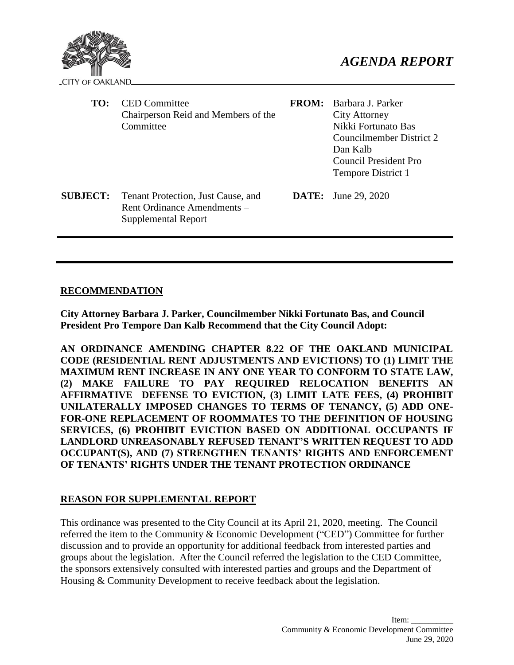

| TO:             | <b>CED</b> Committee<br>Chairperson Reid and Members of the<br>Committee                 | <b>FROM:</b> | Barbara J. Parker<br>City Attorney<br>Nikki Fortunato Bas<br>Councilmember District 2<br>Dan Kalb<br><b>Council President Pro</b><br>Tempore District 1 |
|-----------------|------------------------------------------------------------------------------------------|--------------|---------------------------------------------------------------------------------------------------------------------------------------------------------|
| <b>SUBJECT:</b> | Tenant Protection, Just Cause, and<br>Rent Ordinance Amendments –<br>Supplemental Report |              | <b>DATE:</b> June 29, 2020                                                                                                                              |

# **RECOMMENDATION**

**City Attorney Barbara J. Parker, Councilmember Nikki Fortunato Bas, and Council President Pro Tempore Dan Kalb Recommend that the City Council Adopt:**

**AN ORDINANCE AMENDING CHAPTER 8.22 OF THE OAKLAND MUNICIPAL CODE (RESIDENTIAL RENT ADJUSTMENTS AND EVICTIONS) TO (1) LIMIT THE MAXIMUM RENT INCREASE IN ANY ONE YEAR TO CONFORM TO STATE LAW, (2) MAKE FAILURE TO PAY REQUIRED RELOCATION BENEFITS AN AFFIRMATIVE DEFENSE TO EVICTION, (3) LIMIT LATE FEES, (4) PROHIBIT UNILATERALLY IMPOSED CHANGES TO TERMS OF TENANCY, (5) ADD ONE-FOR-ONE REPLACEMENT OF ROOMMATES TO THE DEFINITION OF HOUSING SERVICES, (6) PROHIBIT EVICTION BASED ON ADDITIONAL OCCUPANTS IF LANDLORD UNREASONABLY REFUSED TENANT'S WRITTEN REQUEST TO ADD OCCUPANT(S), AND (7) STRENGTHEN TENANTS' RIGHTS AND ENFORCEMENT OF TENANTS' RIGHTS UNDER THE TENANT PROTECTION ORDINANCE**

# **REASON FOR SUPPLEMENTAL REPORT**

This ordinance was presented to the City Council at its April 21, 2020, meeting. The Council referred the item to the Community & Economic Development ("CED") Committee for further discussion and to provide an opportunity for additional feedback from interested parties and groups about the legislation. After the Council referred the legislation to the CED Committee, the sponsors extensively consulted with interested parties and groups and the Department of Housing & Community Development to receive feedback about the legislation.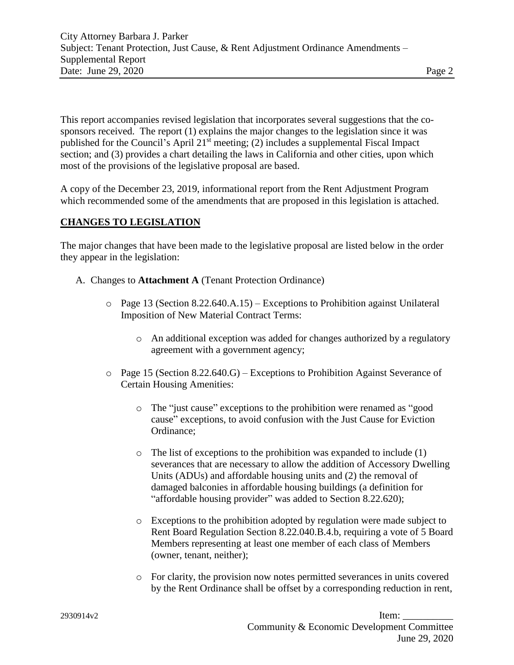This report accompanies revised legislation that incorporates several suggestions that the cosponsors received. The report (1) explains the major changes to the legislation since it was published for the Council's April 21st meeting; (2) includes a supplemental Fiscal Impact section; and (3) provides a chart detailing the laws in California and other cities, upon which most of the provisions of the legislative proposal are based.

A copy of the December 23, 2019, informational report from the Rent Adjustment Program which recommended some of the amendments that are proposed in this legislation is attached.

# **CHANGES TO LEGISLATION**

The major changes that have been made to the legislative proposal are listed below in the order they appear in the legislation:

- A. Changes to **Attachment A** (Tenant Protection Ordinance)
	- $\circ$  Page 13 (Section 8.22.640.A.15) Exceptions to Prohibition against Unilateral Imposition of New Material Contract Terms:
		- o An additional exception was added for changes authorized by a regulatory agreement with a government agency;
	- o Page 15 (Section 8.22.640.G) Exceptions to Prohibition Against Severance of Certain Housing Amenities:
		- o The "just cause" exceptions to the prohibition were renamed as "good cause" exceptions, to avoid confusion with the Just Cause for Eviction Ordinance;
		- o The list of exceptions to the prohibition was expanded to include (1) severances that are necessary to allow the addition of Accessory Dwelling Units (ADUs) and affordable housing units and (2) the removal of damaged balconies in affordable housing buildings (a definition for "affordable housing provider" was added to Section 8.22.620);
		- o Exceptions to the prohibition adopted by regulation were made subject to Rent Board Regulation Section 8.22.040.B.4.b, requiring a vote of 5 Board Members representing at least one member of each class of Members (owner, tenant, neither);
		- o For clarity, the provision now notes permitted severances in units covered by the Rent Ordinance shall be offset by a corresponding reduction in rent,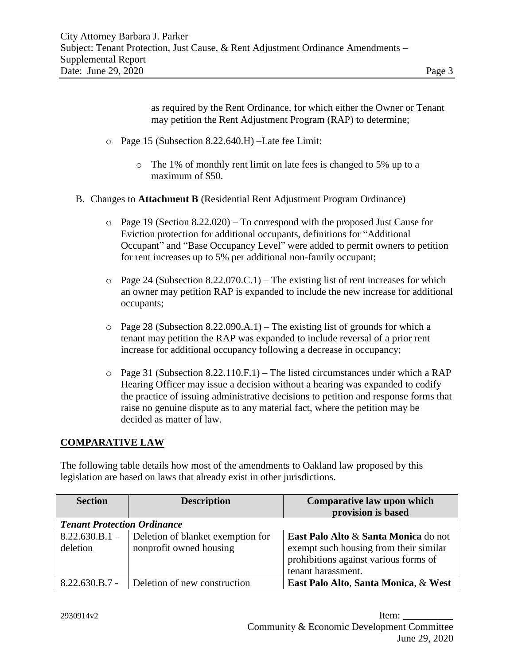as required by the Rent Ordinance, for which either the Owner or Tenant may petition the Rent Adjustment Program (RAP) to determine;

- o Page 15 (Subsection 8.22.640.H) –Late fee Limit:
	- o The 1% of monthly rent limit on late fees is changed to 5% up to a maximum of \$50.
- B. Changes to **Attachment B** (Residential Rent Adjustment Program Ordinance)
	- $\circ$  Page 19 (Section 8.22.020) To correspond with the proposed Just Cause for Eviction protection for additional occupants, definitions for "Additional Occupant" and "Base Occupancy Level" were added to permit owners to petition for rent increases up to 5% per additional non-family occupant;
	- $\circ$  Page 24 (Subsection 8.22.070.C.1) The existing list of rent increases for which an owner may petition RAP is expanded to include the new increase for additional occupants;
	- $\circ$  Page 28 (Subsection 8.22.090.A.1) The existing list of grounds for which a tenant may petition the RAP was expanded to include reversal of a prior rent increase for additional occupancy following a decrease in occupancy;
	- $\circ$  Page 31 (Subsection 8.22.110.F.1) The listed circumstances under which a RAP Hearing Officer may issue a decision without a hearing was expanded to codify the practice of issuing administrative decisions to petition and response forms that raise no genuine dispute as to any material fact, where the petition may be decided as matter of law.

# **COMPARATIVE LAW**

The following table details how most of the amendments to Oakland law proposed by this legislation are based on laws that already exist in other jurisdictions.

| <b>Section</b>                     | <b>Description</b>                | Comparative law upon which             |  |  |
|------------------------------------|-----------------------------------|----------------------------------------|--|--|
|                                    |                                   | provision is based                     |  |  |
| <b>Tenant Protection Ordinance</b> |                                   |                                        |  |  |
| $8.22.630.B.1 -$                   | Deletion of blanket exemption for | East Palo Alto & Santa Monica do not   |  |  |
| deletion                           | nonprofit owned housing           | exempt such housing from their similar |  |  |
|                                    |                                   | prohibitions against various forms of  |  |  |
|                                    |                                   | tenant harassment.                     |  |  |
| $8.22.630.B.7 -$                   | Deletion of new construction      | East Palo Alto, Santa Monica, & West   |  |  |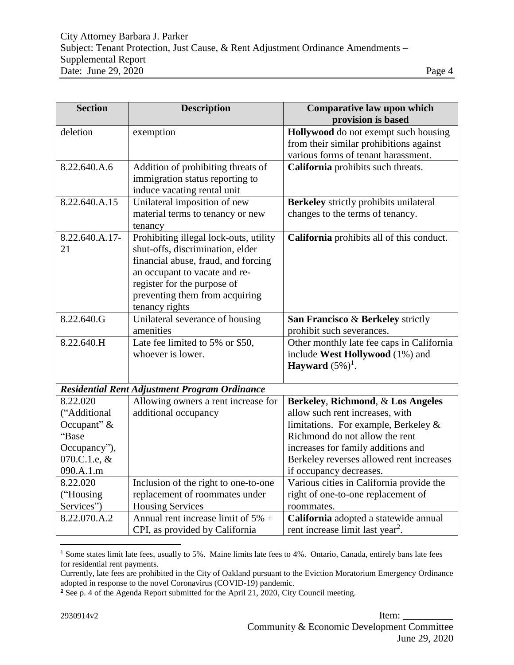| <b>Section</b> | <b>Description</b>                                                         | Comparative law upon which<br>provision is based |
|----------------|----------------------------------------------------------------------------|--------------------------------------------------|
| deletion       | exemption                                                                  | Hollywood do not exempt such housing             |
|                |                                                                            | from their similar prohibitions against          |
|                |                                                                            | various forms of tenant harassment.              |
| 8.22.640.A.6   | Addition of prohibiting threats of                                         | California prohibits such threats.               |
|                | immigration status reporting to                                            |                                                  |
|                | induce vacating rental unit                                                |                                                  |
| 8.22.640.A.15  | Unilateral imposition of new                                               | Berkeley strictly prohibits unilateral           |
|                | material terms to tenancy or new                                           | changes to the terms of tenancy.                 |
| 8.22.640.A.17- | tenancy                                                                    |                                                  |
| 21             | Prohibiting illegal lock-outs, utility<br>shut-offs, discrimination, elder | California prohibits all of this conduct.        |
|                | financial abuse, fraud, and forcing                                        |                                                  |
|                | an occupant to vacate and re-                                              |                                                  |
|                | register for the purpose of                                                |                                                  |
|                | preventing them from acquiring                                             |                                                  |
|                | tenancy rights                                                             |                                                  |
| 8.22.640.G     | Unilateral severance of housing                                            | San Francisco & Berkeley strictly                |
|                | amenities                                                                  | prohibit such severances.                        |
| 8.22.640.H     | Late fee limited to 5% or \$50,                                            | Other monthly late fee caps in California        |
|                | whoever is lower.                                                          | include West Hollywood (1%) and                  |
|                |                                                                            | Hayward $(5\%)^1$ .                              |
|                |                                                                            |                                                  |
|                | <b>Residential Rent Adjustment Program Ordinance</b>                       |                                                  |
| 8.22.020       | Allowing owners a rent increase for                                        | Berkeley, Richmond, & Los Angeles                |
| ("Additional   | additional occupancy                                                       | allow such rent increases, with                  |
| Occupant" $&$  |                                                                            | limitations. For example, Berkeley $\&$          |
| "Base          |                                                                            | Richmond do not allow the rent                   |
| Occupancy"),   |                                                                            | increases for family additions and               |
| 070.C.1.e, &   |                                                                            | Berkeley reverses allowed rent increases         |
| 090.A.1.m      |                                                                            | if occupancy decreases.                          |
| 8.22.020       | Inclusion of the right to one-to-one                                       | Various cities in California provide the         |
| ("Housing      | replacement of roommates under                                             | right of one-to-one replacement of               |
| Services")     | <b>Housing Services</b>                                                    | roommates.                                       |
| 8.22.070.A.2   | Annual rent increase limit of $5\%$ +                                      | California adopted a statewide annual            |
|                | CPI, as provided by California                                             | rent increase limit last year <sup>2</sup> .     |

<sup>&</sup>lt;sup>1</sup> Some states limit late fees, usually to 5%. Maine limits late fees to 4%. Ontario, Canada, entirely bans late fees for residential rent payments.

 $\overline{a}$ 

Currently, late fees are prohibited in the City of Oakland pursuant to the Eviction Moratorium Emergency Ordinance adopted in response to the novel Coronavirus (COVID-19) pandemic.

<sup>2</sup> See p. 4 of the Agenda Report submitted for the April 21, 2020, City Council meeting.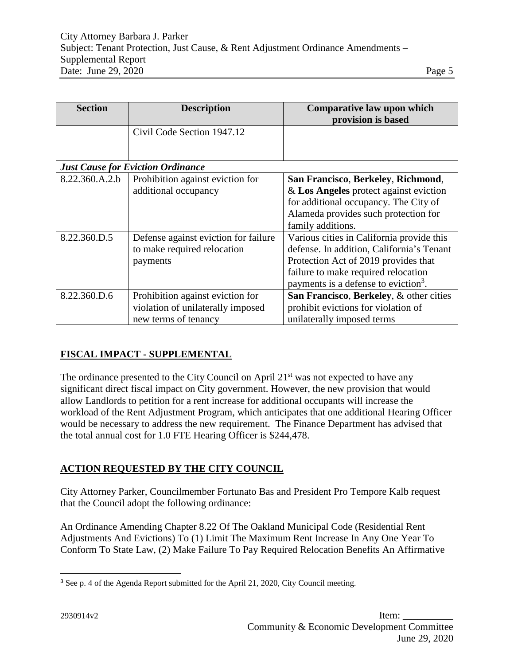| <b>Section</b>                           | <b>Description</b>                                                                            | Comparative law upon which<br>provision is based                                                                                                                                                                          |  |  |
|------------------------------------------|-----------------------------------------------------------------------------------------------|---------------------------------------------------------------------------------------------------------------------------------------------------------------------------------------------------------------------------|--|--|
|                                          | Civil Code Section 1947.12                                                                    |                                                                                                                                                                                                                           |  |  |
| <b>Just Cause for Eviction Ordinance</b> |                                                                                               |                                                                                                                                                                                                                           |  |  |
| 8.22.360.A.2.b                           | Prohibition against eviction for                                                              | San Francisco, Berkeley, Richmond,                                                                                                                                                                                        |  |  |
|                                          | additional occupancy                                                                          | $&$ Los Angeles protect against eviction<br>for additional occupancy. The City of<br>Alameda provides such protection for<br>family additions.                                                                            |  |  |
| 8.22.360.D.5                             | Defense against eviction for failure<br>to make required relocation<br>payments               | Various cities in California provide this<br>defense. In addition, California's Tenant<br>Protection Act of 2019 provides that<br>failure to make required relocation<br>payments is a defense to eviction <sup>3</sup> . |  |  |
| 8.22.360.D.6                             | Prohibition against eviction for<br>violation of unilaterally imposed<br>new terms of tenancy | San Francisco, Berkeley, & other cities<br>prohibit evictions for violation of<br>unilaterally imposed terms                                                                                                              |  |  |

# **FISCAL IMPACT - SUPPLEMENTAL**

The ordinance presented to the City Council on April 21<sup>st</sup> was not expected to have any significant direct fiscal impact on City government. However, the new provision that would allow Landlords to petition for a rent increase for additional occupants will increase the workload of the Rent Adjustment Program, which anticipates that one additional Hearing Officer would be necessary to address the new requirement. The Finance Department has advised that the total annual cost for 1.0 FTE Hearing Officer is \$244,478.

# **ACTION REQUESTED BY THE CITY COUNCIL**

City Attorney Parker, Councilmember Fortunato Bas and President Pro Tempore Kalb request that the Council adopt the following ordinance:

An Ordinance Amending Chapter 8.22 Of The Oakland Municipal Code (Residential Rent Adjustments And Evictions) To (1) Limit The Maximum Rent Increase In Any One Year To Conform To State Law, (2) Make Failure To Pay Required Relocation Benefits An Affirmative

 $\overline{a}$ 

<sup>3</sup> See p. 4 of the Agenda Report submitted for the April 21, 2020, City Council meeting.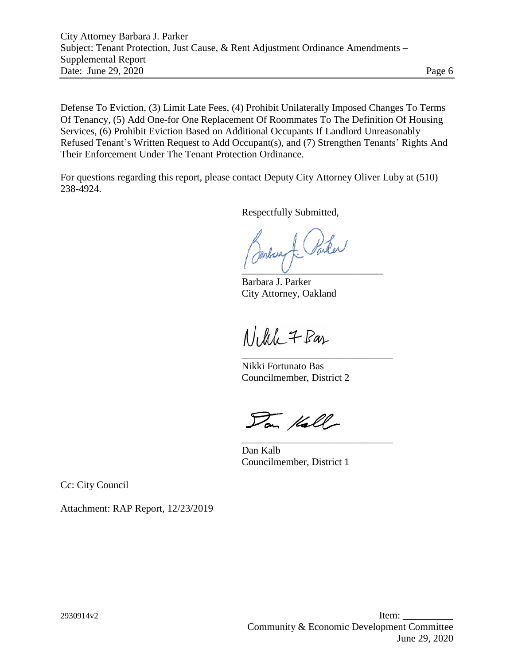Defense To Eviction, (3) Limit Late Fees, (4) Prohibit Unilaterally Imposed Changes To Terms Of Tenancy, (5) Add One-for One Replacement Of Roommates To The Definition Of Housing Services, (6) Prohibit Eviction Based on Additional Occupants If Landlord Unreasonably Refused Tenant's Written Request to Add Occupant(s), and (7) Strengthen Tenants' Rights And Their Enforcement Under The Tenant Protection Ordinance.

For questions regarding this report, please contact Deputy City Attorney Oliver Luby at (510) 238-4924.

Respectfully Submitted,

 $\frac{1}{2}$   $\frac{1}{2}$   $\frac{1}{2}$   $\frac{1}{2}$   $\frac{1}{2}$   $\frac{1}{2}$   $\frac{1}{2}$   $\frac{1}{2}$   $\frac{1}{2}$   $\frac{1}{2}$   $\frac{1}{2}$   $\frac{1}{2}$   $\frac{1}{2}$   $\frac{1}{2}$   $\frac{1}{2}$   $\frac{1}{2}$   $\frac{1}{2}$   $\frac{1}{2}$   $\frac{1}{2}$   $\frac{1}{2}$   $\frac{1}{2}$   $\frac{1}{2}$ 

Barbara J. Parker City Attorney, Oakland

Nelle 7 Bas

Nikki Fortunato Bas Councilmember, District 2

\_\_\_\_\_\_\_\_\_\_\_\_\_\_\_\_\_\_\_\_\_\_\_\_\_\_\_\_\_\_

\_\_\_\_\_\_\_\_\_\_\_\_\_\_\_\_\_\_\_\_\_\_\_\_\_\_\_\_\_\_

Dan Kall

Dan Kalb Councilmember, District 1

Cc: City Council

Attachment: RAP Report, 12/23/2019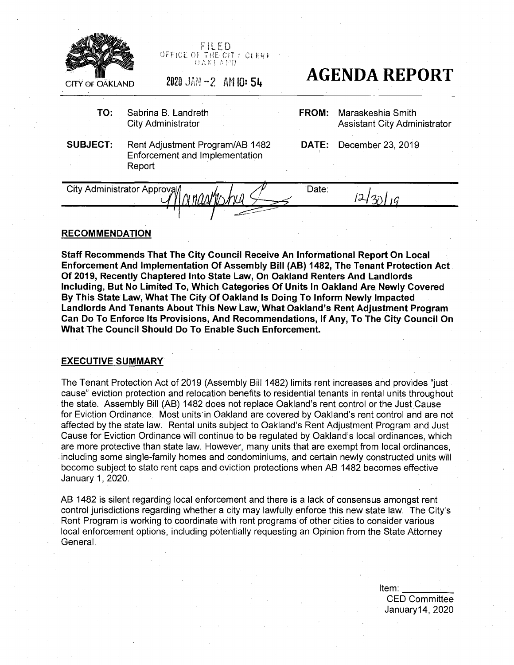

FILED OFFICE OF THE CITY CLERK OAK <sup>l</sup> <sup>A</sup> f!D

- **TO:** Sabrina B. Landreth City Administrator
- $\epsilon$  **CITY** OF OAKLAND 2020 JAN -2 AM 10: 54 **AGENDA REPORT** 
	- **FROM:** Maraskeshia Smith Assistant City Administrator
- **SUBJECT:** Rent Adjustment Program/AB 1482 Enforcement and Implementation Report
- **DATE:** December 23, 2019

City Administrator Approval  $\mathcal{A}$   $\mathcal{A}$   $\mathcal{A}$  Date:  $\frac{4430104049336}{90000}$ 

### **RECOMMENDATION**

**Staff Recommends That The City Council Receive An Informational Report On Local Enforcement And Implementation Of Assembly Bill (AB) 1482, The Tenant Protection Act Of 2019, Recently Chaptered Into State Law, On Oakland Renters And Landlords Including, But No Limited To, Which Categories Of Units In Oakland Are Newly Covered By This State Law, What The City Of Oakland Is Doing To Inform Newly Impacted Landlords And Tenants About This New Law, What Oakland's Rent Adjustment Program Can Do To Enforce Its Provisions, And Recommendations, If Any, To The City Council On What The Council Should Do To Enable Such Enforcement.**

#### **EXECUTIVE SUMMARY**

The Tenant Protection Act of 2019 (Assembly Bill 1482) limits rent increases and provides "just cause" eviction protection and relocation benefits to residential tenants in rental units throughout the state. Assembly Bill (AB) 1482 does not replace Oakland's rent control or the Just Cause for Eviction Ordinance. Most units in Oakland are covered by Oakland's rent control and are not affected by the state law. Rental units subject to Oakland's Rent Adjustment Program and Just Cause for Eviction Ordinance will continue to be regulated by Oakland's local ordinances, which are more protective than state law. However, many units that are exempt from local ordinances, including some single-family homes and condominiums, and certain newly constructed units will become subject to state rent caps and eviction protections when AB 1482 becomes effective January 1,2020.

AB 1482 is silent regarding local enforcement and there is a lack of consensus amongst rent control jurisdictions regarding whether a city may lawfully enforce this new state law. The City's Rent Program is working to coordinate with rent programs of other cities to consider various local enforcement options, including potentially requesting an Opinion from the State Attorney General.

> Item: CED Committee January14, 2020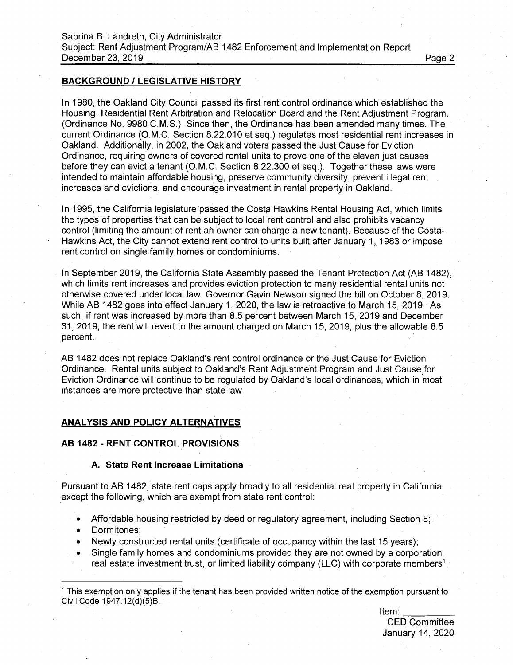## **BACKGROUND / LEGISLATIVE HISTORY**

In 1980, the Oakland City Council passed its first rent control ordinance which established the Housing, Residential Rent Arbitration and Relocation Board and the Rent Adjustment Program. (Ordinance No. 9980 C.M.S.) Since then, the Ordinance has been amended many times. The current Ordinance (O.M.C. Section 8.22.010 et seq.) regulates most residential rent increases in Oakland. Additionally, in 2002, the Oakland voters passed the Just Cause for Eviction Ordinance, requiring owners of covered rental units to prove one of the eleven just causes before they can evict a tenant (O.M.C. Section 8.22.300 et seq.). Together these laws were intended to maintain affordable housing, preserve community diversity, prevent illegal rent increases and evictions, and encourage investment in rental property in Oakland.

In 1995, the California legislature passed the Costa Hawkins Rental Housing Act, which limits the types of properties that can be subject to local rent control and also prohibits vacancy control (limiting the amount of rent an owner can charge a new tenant). Because of the Costa-Hawkins Act, the City cannot extend rent control to units built after January 1, 1983 or impose rent control on single family homes or condominiums.

In September 2019, the California State Assembly passed the Tenant Protection Act (AB 1482), which limits rent increases and provides eviction protection to many residential rental units not otherwise covered under local law. Governor Gavin Newson signed the bill on October 8, 2019. While AB 1482 goes into effect January 1, 2020, the law is retroactive to March 15, 2019. As such, if rent was increased by more than 8.5 percent between March 15, 2019 and December 31, 2019, the rent will revert to the amount charged on March 15, 2019, plus the allowable 8.5 percent.

AB 1482 does not replace Oakland's rent control ordinance or the Just Cause for Eviction Ordinance. Rental units subject to Oakland's Rent Adjustment Program and Just Cause for Eviction Ordinance will continue to be regulated by Oakland's local ordinances, which in most instances are more protective than state law.

# **ANALYSIS AND POLICY ALTERNATIVES**

#### **AB 1482 - RENT CONTROL PROVISIONS**

#### **A. State Rent Increase Limitations**

Pursuant to AB 1482, state rent caps apply broadly to all residential real property in California except the following, which are exempt from state rent control:

- Affordable housing restricted by deed or regulatory agreement, including Section 8;
- Dormitories;
- Newly constructed rental units (certificate of occupancy within the last 15 years);
- Single family homes and condominiums provided they are not owned by a corporation, real estate investment trust, or limited liability company (LLC) with corporate members<sup>1</sup>;

Item: CED Committee January 14, 2020

<sup>1</sup> This exemption only applies if the tenant has been provided written notice of the exemption pursuant to Civil Code 1947.12(d)(5)B.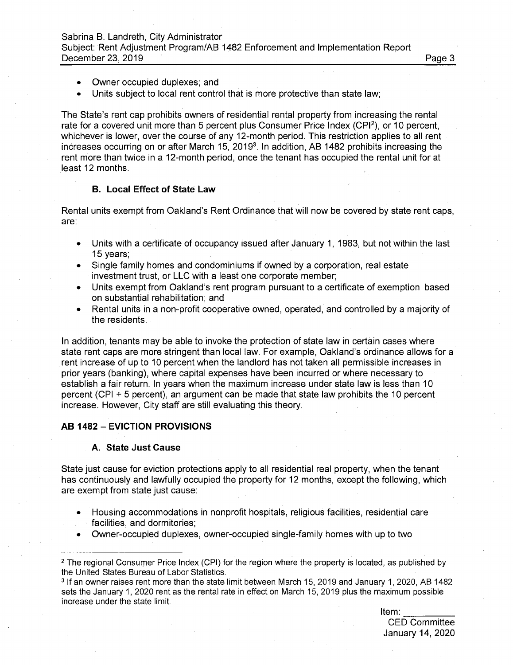Sabrina B. Landreth, City Administrator Subject: Rent Adjustment Program/AB 1482 Enforcement and Implementation Report December 23, 2019 **Page 3** 

- Owner occupied duplexes; and
- Units subject to local rent control that is more protective than state law;

The State's rent cap prohibits owners of residential rental property from increasing the rental rate for a covered unit more than 5 percent plus Consumer Price Index (CPI<sup>2</sup>), or 10 percent, whichever is lower, over the course of any 12-month period. This restriction applies to all rent increases occurring on or after March 15, 2019<sup>3</sup>. In addition, AB 1482 prohibits increasing the rent more than twice in a 12-month period, once the tenant has occupied the rental unit for at least 12 months.

## **B. Local Effect of State Law**

Rental units exempt from Oakland's Rent Ordinance that will now be covered by state rent caps, are:

- Units with a certificate of occupancy issued after January 1, 1983, but not within the last 15 years;
- Single family homes and condominiums if owned by a corporation, real estate investment trust, or LLC with a least one corporate member;
- Units exempt from Oakland's rent program pursuant to a certificate of exemption based on substantial rehabilitation; and
- Rental units in a non-profit cooperative owned, operated, and controlled by a majority of the residents.

In addition, tenants may be able to invoke the protection of state law in certain cases where state rent caps are more stringent than local law. For example, Oakland's ordinance allows for a rent increase of up to 10 percent when the landlord has not taken all permissible increases in prior years (banking), where capital expenses have been incurred or where necessary to establish a fair return. In years when the maximum increase under state law is less than 10 percent (CPI + 5 percent), an argument can be made that state law prohibits the 10 percent increase. However, City staff are still evaluating this theory.

# **AB <sup>1482</sup> - EVICTION PROVISIONS**

#### **A. State Just Cause**

State just cause for eviction protections apply to all residential real property, when the tenant has continuously and lawfully occupied the property for 12 months, except the following, which are exempt from state just cause:

- Housing accommodations in nonprofit hospitals, religious facilities, residential care facilities, and dormitories;
- Owner-occupied duplexes, owner-occupied single-family homes with up to two

Item:

CED Committee January 14, 2020

<sup>2</sup> The regional Consumer Price Index (CPI) for the region where the property is located, as published by the United States Bureau of Labor Statistics.

<sup>3</sup> If an owner raises rent more than the state limit between March 15, 2019 and January 1,2020, AB 1482 sets the January 1, 2020 rent as the rental rate in effect on March 15, 2019 plus the maximum possible increase under the state limit.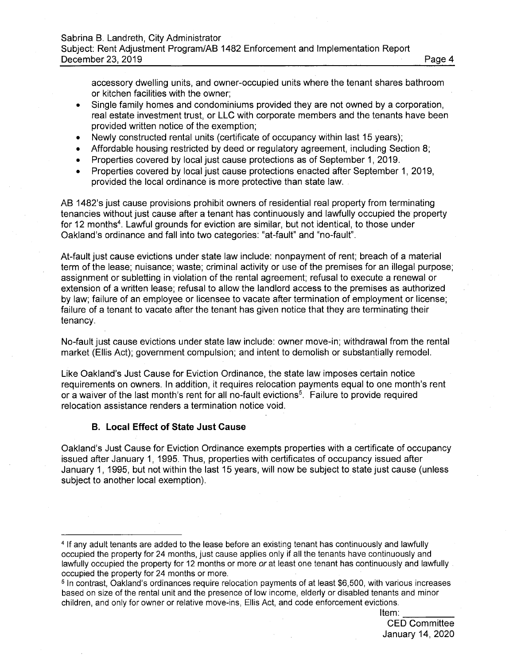accessory dwelling units, and owner-occupied units where the tenant shares bathroom or kitchen facilities with the owner;

- Single family homes and condominiums provided they are not owned by a corporation, real estate investment trust, or LLC with corporate members and the tenants have been provided written notice of the exemption;
- Newly constructed rental units (certificate of occupancy within last 15 years);
- Affordable housing restricted by deed or regulatory agreement, including Section 8;
- Properties covered by local just cause protections as of September 1, 2019.  $\bullet$
- Properties covered by local just cause protections enacted after September 1, 2019, provided the local ordinance is more protective than state law.

AB 1482's just cause provisions prohibit owners of residential real property from terminating tenancies without just cause after a tenant has continuously and lawfully occupied the property for 12 months<sup>4</sup>. Lawful grounds for eviction are similar, but not identical, to those under Oakland's ordinance and fall into two categories: "at-fault" and "no-fault".

At-fault just cause evictions under state law include: nonpayment of rent; breach of a material term of the lease; nuisance; waste; criminal activity or use of the premises for an illegal purpose; assignment or subletting in violation of the rental agreement; refusal to execute a renewal or extension of a written lease; refusal to allow the landlord access to the premises as authorized by law; failure of an employee or licensee to vacate after termination of employment or license; failure of a tenant to vacate after the tenant has given notice that they are terminating their tenancy.

No-fault just cause evictions under state law include: owner move-in; withdrawal from the rental market (Ellis Act); government compulsion; and intent to demolish or substantially remodel.

Like Oakland's Just Cause for Eviction Ordinance, the state law imposes certain notice requirements on owners. In addition, it requires relocation payments equal to one month's rent or a waiver of the last month's rent for all no-fault evictions<sup>5</sup>. Failure to provide required relocation assistance renders a termination notice void.

## **B. Local Effect of State Just Cause**

Oakland's Just Cause for Eviction Ordinance exempts properties with a certificate of occupancy issued after January 1, 1995. Thus, properties with certificates of occupancy issued after January 1, 1995, but not within the last 15 years, will now be subject to state just cause (unless subject to another local exemption).

Item:

CED Committee January 14, 2020

<sup>4</sup> If any adult tenants are added to the lease before an existing tenant has continuously and lawfully occupied the property for 24 months, just cause applies only if all the tenants have continuously and lawfully occupied the property for 12 months or more *or* at least one tenant has continuously and lawfully occupied the property for 24 months or more.

<sup>&</sup>lt;sup>5</sup> In contrast, Oakland's ordinances require relocation payments of at least \$6,500, with various increases based on size of the rental unit and the presence of low income, elderly or disabled tenants and minor children, and only for owner or relative move-ins, Ellis Act, and code enforcement evictions.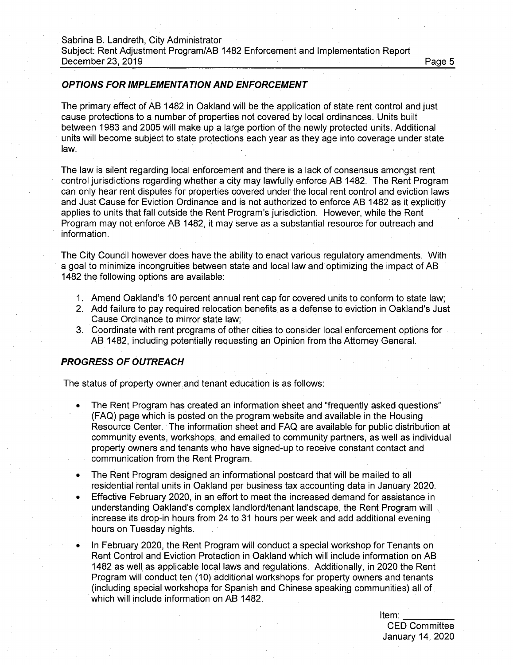## *OPTIONS FOR IMPLEMENTATION AND ENFORCEMENT*

The primary effect of AB 1482 in Oakland will be the application of state rent control and just cause protections to a number of properties not covered by local ordinances. Units built between 1983 and 2005 will make up a large portion of the newly protected units. Additional units will become subject to state protections each year as they age into coverage under state law.

The law is silent regarding local enforcement and there is a lack of consensus amongst rent control jurisdictions regarding whether a city may lawfully enforce AB 1482. The Rent Program can only hear rent disputes for properties covered under the local rent control and eviction laws and Just Cause for Eviction Ordinance and is not authorized to enforce AB 1482 as it explicitly applies to units that fall outside the Rent Program's jurisdiction. However, while the Rent Program may not enforce AB 1482, it may serve as a substantial resource for outreach and information.

The City Council however does have the ability to enact various regulatory amendments. With a goal to minimize incongruities between state and local law and optimizing the impact of AB 1482 the following options are available:

- 1. Amend Oakland's 10 percent annual rent cap for covered units to conform to state law;
- 2. Add failure to pay required relocation benefits as a defense to eviction in Oakland's Just Cause Ordinance to mirror state law;
- 3. Coordinate with rent programs of other cities to consider local enforcement options for AB 1482, including potentially requesting an Opinion from the Attorney General.

#### *PROGRESS OF OUTREACH*

The status of property owner and tenant education is as follows:

- The Rent Program has created an information sheet and "frequently asked questions" (FAQ) page which is posted on the program website and available in the Housing Resource Center. The information sheet and FAQ are available for public distribution at community events, workshops, and emailed to community partners, as well as individual property owners and tenants who have signed-up to receive constant contact and communication from the Rent Program.
- The Rent Program designed an informational postcard that will be mailed to all residential rental units in Oakland per business tax accounting data in January 2020.
- Effective February 2020, in an effort to meet the increased demand for assistance in understanding Oakland's complex landlord/tenant landscape, the Rent Program will increase its drop-in hours from 24 to 31 hours per week and add additional evening hours on Tuesday nights.
- In February 2020, the Rent Program will conduct a special workshop for Tenants on Rent Control and Eviction Protection in Oakland which will include information on AB 1482 as well as applicable local laws and regulations. Additionally, in 2020 the Rent Program will conduct ten (10) additional workshops for property owners and tenants (including special workshops for Spanish and Chinese speaking communities) all of which will include information on AB 1482.

Item:

CED Committee January 14, 2020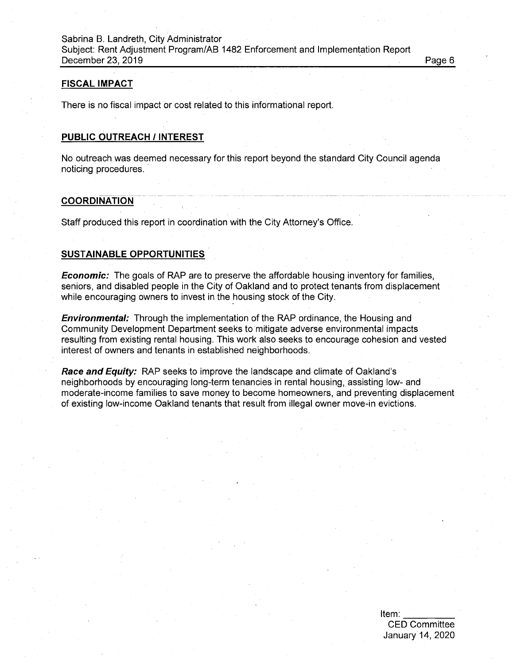#### **FISCAL IMPACT**

There is no fiscal impact or cost related to this informational report.

# **PUBLIC OUTREACH / INTEREST**

No outreach was deemed necessary for this report beyond the standard City Council agenda noticing procedures.

#### **COORDINATION**

Staff produced this report in coordination with the City Attorney's Office.

# **SUSTAINABLE OPPORTUNITIES**

*Economic:* The goals of RAP are to preserve the affordable housing inventory for families, seniors, and disabled people in the City of Oakland and to protect tenants from displacement while encouraging owners to invest in the housing stock of the City.

*Environmental:* Through the implementation of the FRAP ordinance, the Housing and Community Development Department seeks to mitigate adverse environmental impacts resulting from existing rental housing. This work also seeks to encourage cohesion and vested interest of owners and tenants in established neighborhoods.

*Race and Equity:* FRAP seeks to improve the landscape and climate of Oakland's neighborhoods by encouraging long-term tenancies in rental housing, assisting low- and moderate-income families to save money to become homeowners, and preventing displacement of existing low-income Oakland tenants that result from illegal owner move-in evictions.

> Item: CED Committee January 14, 2020